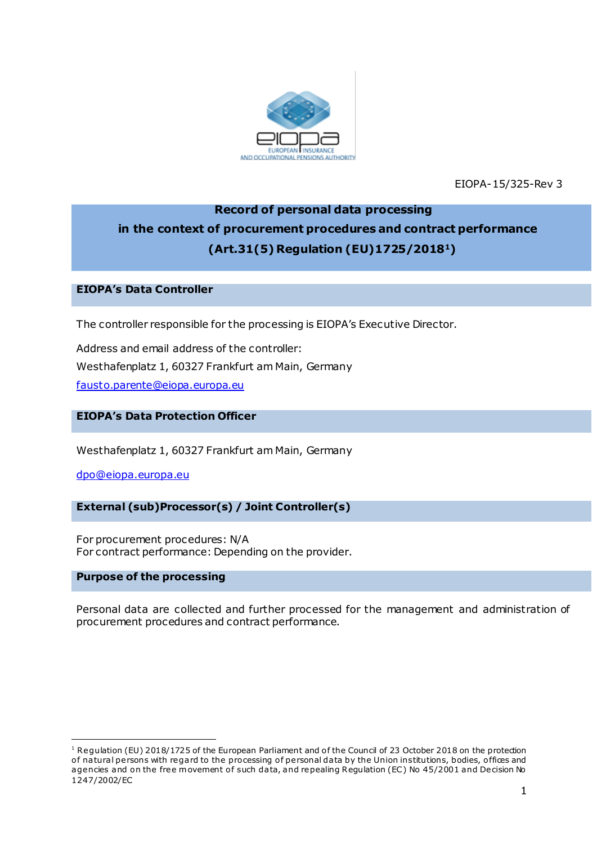

EIOPA-15/325-Rev 3

# **Record of personal data processing in the context of procurement procedures and contract performance (Art.31(5) Regulation (EU)1725/20181)**

#### **EIOPA's Data Controller**

The controller responsible for the processing is EIOPA's Executive Director.

Address and email address of the controller: Westhafenplatz 1, 60327 Frankfurt am Main, Germany [fausto.parente@eiopa.europa.eu](mailto:fausto.parente@eiopa.europa.eu)

# **EIOPA's Data Protection Officer**

Westhafenplatz 1, 60327 Frankfurt am Main, Germany

[dpo@eiopa.europa.eu](mailto:dpo@eiopa.europa.eu)

# **External (sub)Processor(s) / Joint Controller(s)**

For procurement procedures: N/A For contract performance: Depending on the provider.

#### **Purpose of the processing**

.

Personal data are collected and further processed for the management and administration of procurement procedures and contract performance.

<sup>&</sup>lt;sup>1</sup> Regulation (EU) 2018/1725 of the European Parliament and of the Council of 23 October 2018 on the protection of natural persons with regard to the processing of personal data by the Union institutions, bodies, offices and agencies and on the free movement of such data, and repealing Regulation (EC) No 45/2001 and Decision No 1247/2002/EC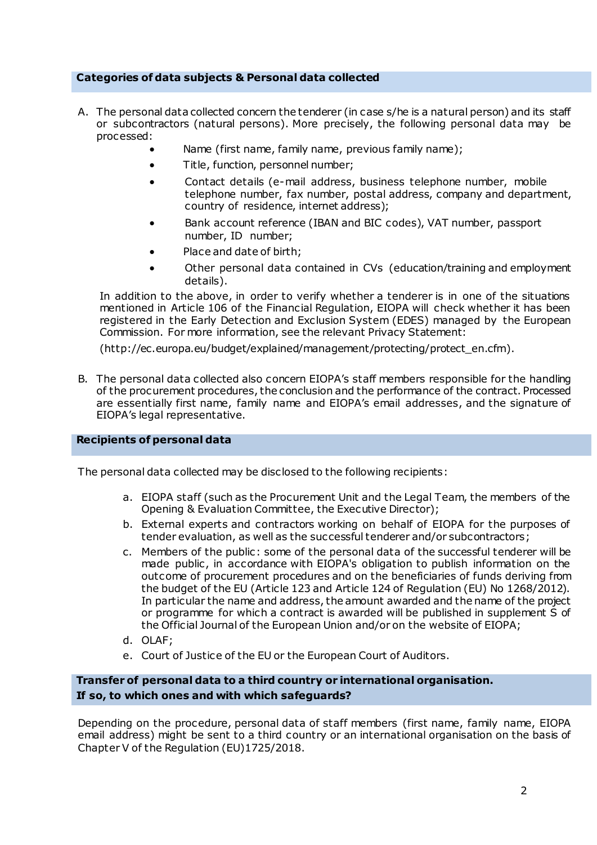### **Categories of data subjects & Personal data collected**

- A. The personal data collected concern the tenderer (in case s/he is a natural person) and its staff or subcontractors (natural persons). More precisely, the following personal data may be processed:
	- Name (first name, family name, previous family name);
	- Title, function, personnel number;
	- Contact details (e-mail address, business telephone number, mobile telephone number, fax number, postal address, company and department, country of residence, internet address);
	- Bank account reference (IBAN and BIC codes), VAT number, passport number, ID number;
	- Place and date of birth;
	- Other personal data contained in CVs (education/training and employment details).

In addition to the above, in order to verify whether a tenderer is in one of the situations mentioned in Article 106 of the Financial Regulation, EIOPA will check whether it has been registered in the Early Detection and Exclusion System (EDES) managed by the European Commission. For more information, see the relevant Privacy Statement:

[\(http://ec.europa.eu/budget/explained/management/protecting/protect\\_en.cfm\)](http://ec.europa.eu/budget/explained/management/protecting/protect_en.cfm).

B. The personal data collected also concern EIOPA's staff members responsible for the handling of the procurement procedures, the conclusion and the performance of the contract. Processed are essentially first name, family name and EIOPA's email addresses, and the signature of EIOPA's legal representative.

#### **Recipients of personal data**

The personal data collected may be disclosed to the following recipients:

- a. EIOPA staff (such as the Procurement Unit and the Legal Team, the members of the Opening & Evaluation Committee, the Executive Director);
- b. External experts and contractors working on behalf of EIOPA for the purposes of tender evaluation, as well as the successful tenderer and/or subcontractors;
- c. Members of the public: some of the personal data of the successful tenderer will be made public, in accordance with EIOPA's obligation to publish information on the outcome of procurement procedures and on the beneficiaries of funds deriving from the budget of the EU (Article 123 and Article 124 of Regulation (EU) No 1268/2012). In particular the name and address, the amount awarded and the name of the project or programme for which a contract is awarded will be published in supplement S of the Official Journal of the European Union and/or on the website of EIOPA;
- d. OLAF;
- e. Court of Justice of the EU or the European Court of Auditors.

# **Transfer of personal data to a third country or international organisation. If so, to which ones and with which safeguards?**

Depending on the procedure, personal data of staff members (first name, family name, EIOPA email address) might be sent to a third country or an international organisation on the basis of Chapter V of the Regulation (EU)1725/2018.